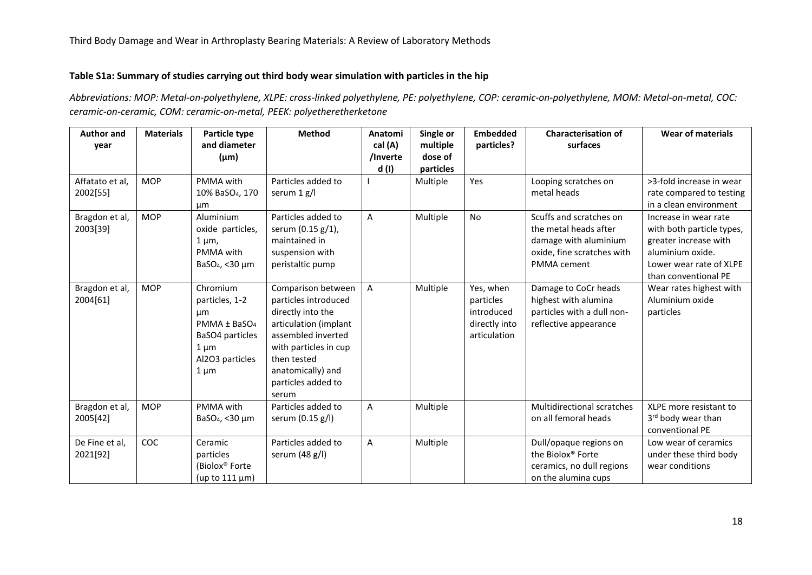## **Table S1a: Summary of studies carrying out third body wear simulation with particles in the hip**

*Abbreviations: MOP: Metal-on-polyethylene, XLPE: cross-linked polyethylene, PE: polyethylene, COP: ceramic-on-polyethylene, MOM: Metal-on-metal, COC: ceramic-on-ceramic, COM: ceramic-on-metal, PEEK: polyetheretherketone*

| <b>Author and</b> | <b>Materials</b> | Particle type               | <b>Method</b>         | Anatomi      | Single or | <b>Embedded</b> | <b>Characterisation of</b>        | <b>Wear of materials</b>       |
|-------------------|------------------|-----------------------------|-----------------------|--------------|-----------|-----------------|-----------------------------------|--------------------------------|
| year              |                  | and diameter                |                       | cal (A)      | multiple  | particles?      | surfaces                          |                                |
|                   |                  | $(\mu m)$                   |                       | /Inverte     | dose of   |                 |                                   |                                |
|                   |                  |                             |                       | d(1)         | particles |                 |                                   |                                |
| Affatato et al,   | <b>MOP</b>       | PMMA with                   | Particles added to    |              | Multiple  | Yes             | Looping scratches on              | >3-fold increase in wear       |
| 2002[55]          |                  | 10% BaSO <sub>4</sub> , 170 | serum 1 g/l           |              |           |                 | metal heads                       | rate compared to testing       |
|                   |                  | μm                          |                       |              |           |                 |                                   | in a clean environment         |
| Bragdon et al,    | <b>MOP</b>       | Aluminium                   | Particles added to    | A            | Multiple  | No              | Scuffs and scratches on           | Increase in wear rate          |
| 2003[39]          |                  | oxide particles,            | serum (0.15 g/1),     |              |           |                 | the metal heads after             | with both particle types,      |
|                   |                  | $1 \mu m$ ,                 | maintained in         |              |           |                 | damage with aluminium             | greater increase with          |
|                   |                  | PMMA with                   | suspension with       |              |           |                 | oxide, fine scratches with        | aluminium oxide.               |
|                   |                  | BaSO <sub>4</sub> , <30 µm  | peristaltic pump      |              |           |                 | PMMA cement                       | Lower wear rate of XLPE        |
|                   |                  |                             |                       |              |           |                 |                                   | than conventional PE           |
| Bragdon et al,    | <b>MOP</b>       | Chromium                    | Comparison between    | $\mathsf{A}$ | Multiple  | Yes, when       | Damage to CoCr heads              | Wear rates highest with        |
| 2004[61]          |                  | particles, 1-2              | particles introduced  |              |           | particles       | highest with alumina              | Aluminium oxide                |
|                   |                  | μm                          | directly into the     |              |           | introduced      | particles with a dull non-        | particles                      |
|                   |                  | PMMA ± BaSO <sub>4</sub>    | articulation (implant |              |           | directly into   | reflective appearance             |                                |
|                   |                  | BaSO4 particles             | assembled inverted    |              |           | articulation    |                                   |                                |
|                   |                  | $1 \mu m$                   | with particles in cup |              |           |                 |                                   |                                |
|                   |                  | Al2O3 particles             | then tested           |              |           |                 |                                   |                                |
|                   |                  | $1 \mu m$                   | anatomically) and     |              |           |                 |                                   |                                |
|                   |                  |                             | particles added to    |              |           |                 |                                   |                                |
|                   |                  |                             | serum                 |              |           |                 |                                   |                                |
| Bragdon et al,    | <b>MOP</b>       | PMMA with                   | Particles added to    | A            | Multiple  |                 | <b>Multidirectional scratches</b> | XLPE more resistant to         |
| 2005[42]          |                  | BaSO <sub>4</sub> , <30 µm  | serum (0.15 g/l)      |              |           |                 | on all femoral heads              | 3 <sup>rd</sup> body wear than |
|                   |                  |                             |                       |              |           |                 |                                   | conventional PE                |
| De Fine et al,    | COC              | Ceramic                     | Particles added to    | A            | Multiple  |                 | Dull/opaque regions on            | Low wear of ceramics           |
| 2021[92]          |                  | particles                   | serum (48 g/l)        |              |           |                 | the Biolox® Forte                 | under these third body         |
|                   |                  | (Biolox <sup>®</sup> Forte  |                       |              |           |                 | ceramics, no dull regions         | wear conditions                |
|                   |                  | (up to $111 \mu m$ )        |                       |              |           |                 | on the alumina cups               |                                |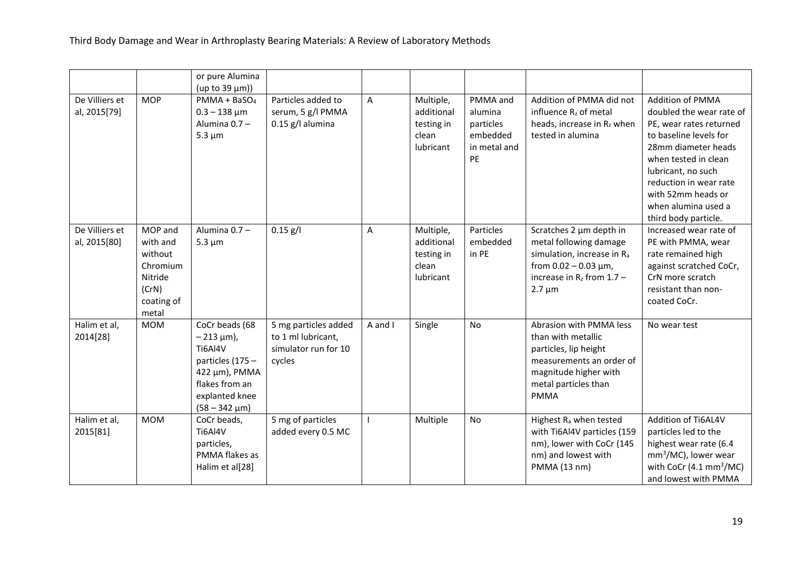|                                |                                                                                       | or pure Alumina<br>(up to 39 µm))                                                                                                           |                                                                              |         |                                                             |                                                                    |                                                                                                                                                                    |                                                                                                                                                                                                                                                                       |
|--------------------------------|---------------------------------------------------------------------------------------|---------------------------------------------------------------------------------------------------------------------------------------------|------------------------------------------------------------------------------|---------|-------------------------------------------------------------|--------------------------------------------------------------------|--------------------------------------------------------------------------------------------------------------------------------------------------------------------|-----------------------------------------------------------------------------------------------------------------------------------------------------------------------------------------------------------------------------------------------------------------------|
| De Villiers et<br>al, 2015[79] | <b>MOP</b>                                                                            | PMMA + BaSO <sub>4</sub><br>$0.3 - 138 \mu m$<br>Alumina 0.7 -<br>$5.3 \mu m$                                                               | Particles added to<br>serum, 5 g/l PMMA<br>$0.15$ g/l alumina                | A       | Multiple,<br>additional<br>testing in<br>clean<br>lubricant | PMMA and<br>alumina<br>particles<br>embedded<br>in metal and<br>PE | Addition of PMMA did not<br>influence R <sub>z</sub> of metal<br>heads, increase in Rz when<br>tested in alumina                                                   | Addition of PMMA<br>doubled the wear rate of<br>PE, wear rates returned<br>to baseline levels for<br>28mm diameter heads<br>when tested in clean<br>lubricant, no such<br>reduction in wear rate<br>with 52mm heads or<br>when alumina used a<br>third body particle. |
| De Villiers et<br>al, 2015[80] | MOP and<br>with and<br>without<br>Chromium<br>Nitride<br>(CrN)<br>coating of<br>metal | Alumina 0.7 -<br>$5.3 \mu m$                                                                                                                | $0.15$ g/l                                                                   | A       | Multiple,<br>additional<br>testing in<br>clean<br>lubricant | Particles<br>embedded<br>in PE                                     | Scratches 2 µm depth in<br>metal following damage<br>simulation, increase in Ra<br>from $0.02 - 0.03 \mu m$ ,<br>increase in $R_z$ from 1.7 -<br>$2.7 \mu m$       | Increased wear rate of<br>PE with PMMA, wear<br>rate remained high<br>against scratched CoCr,<br>CrN more scratch<br>resistant than non-<br>coated CoCr.                                                                                                              |
| Halim et al,<br>2014[28]       | <b>MOM</b>                                                                            | CoCr beads (68<br>$-213 \mu m$ ),<br>Ti6Al4V<br>particles (175 -<br>422 μm), PMMA<br>flakes from an<br>explanted knee<br>$(58 - 342 \mu m)$ | 5 mg particles added<br>to 1 ml lubricant,<br>simulator run for 10<br>cycles | A and I | Single                                                      | <b>No</b>                                                          | Abrasion with PMMA less<br>than with metallic<br>particles, lip height<br>measurements an order of<br>magnitude higher with<br>metal particles than<br><b>PMMA</b> | No wear test                                                                                                                                                                                                                                                          |
| Halim et al,<br>2015[81]       | <b>MOM</b>                                                                            | CoCr beads,<br>Ti6Al4V<br>particles,<br>PMMA flakes as<br>Halim et al[28]                                                                   | 5 mg of particles<br>added every 0.5 MC                                      |         | Multiple                                                    | No                                                                 | Highest R <sub>a</sub> when tested<br>with Ti6Al4V particles (159<br>nm), lower with CoCr (145<br>nm) and lowest with<br>PMMA (13 nm)                              | Addition of Ti6AL4V<br>particles led to the<br>highest wear rate (6.4<br>$mm3/MC$ ), lower wear<br>with CoCr $(4.1 \text{ mm}^3/\text{MC})$<br>and lowest with PMMA                                                                                                   |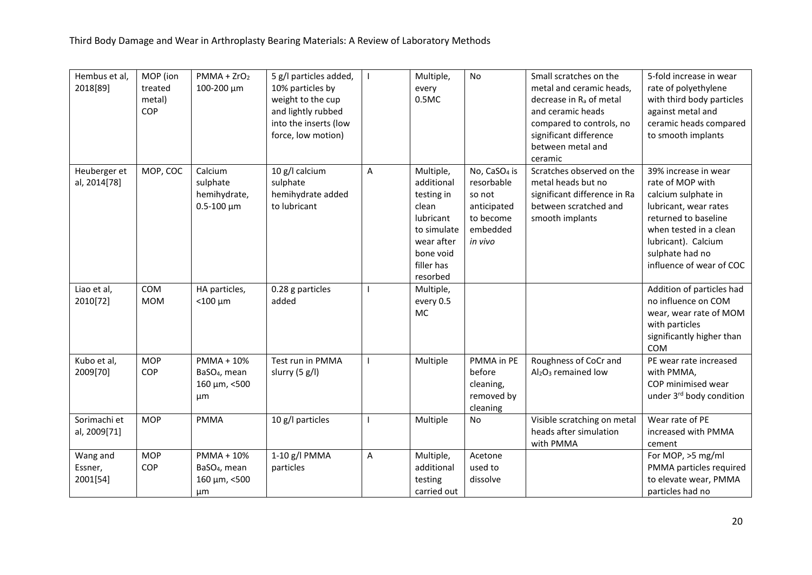| Hembus et al,<br>2018[89]       | MOP (ion<br>treated<br>metal)<br>COP | $PMMA + ZrO2$<br>100-200 μm                                         | 5 g/l particles added,<br>10% particles by<br>weight to the cup<br>and lightly rubbed<br>into the inserts (low<br>force, low motion) |   | Multiple,<br>every<br>0.5MC                                                                                                     | No                                                                                                  | Small scratches on the<br>metal and ceramic heads,<br>decrease in R <sub>a</sub> of metal<br>and ceramic heads<br>compared to controls, no<br>significant difference<br>between metal and | 5-fold increase in wear<br>rate of polyethylene<br>with third body particles<br>against metal and<br>ceramic heads compared<br>to smooth implants                                                                |
|---------------------------------|--------------------------------------|---------------------------------------------------------------------|--------------------------------------------------------------------------------------------------------------------------------------|---|---------------------------------------------------------------------------------------------------------------------------------|-----------------------------------------------------------------------------------------------------|-------------------------------------------------------------------------------------------------------------------------------------------------------------------------------------------|------------------------------------------------------------------------------------------------------------------------------------------------------------------------------------------------------------------|
| Heuberger et<br>al, 2014[78]    | MOP, COC                             | Calcium<br>sulphate<br>hemihydrate,<br>$0.5 - 100 \mu m$            | 10 g/l calcium<br>sulphate<br>hemihydrate added<br>to lubricant                                                                      | A | Multiple,<br>additional<br>testing in<br>clean<br>lubricant<br>to simulate<br>wear after<br>bone void<br>filler has<br>resorbed | No, CaSO <sub>4</sub> is<br>resorbable<br>so not<br>anticipated<br>to become<br>embedded<br>in vivo | ceramic<br>Scratches observed on the<br>metal heads but no<br>significant difference in Ra<br>between scratched and<br>smooth implants                                                    | 39% increase in wear<br>rate of MOP with<br>calcium sulphate in<br>lubricant, wear rates<br>returned to baseline<br>when tested in a clean<br>lubricant). Calcium<br>sulphate had no<br>influence of wear of COC |
| Liao et al,<br>2010[72]         | COM<br><b>MOM</b>                    | HA particles,<br>$<$ 100 $\mu$ m                                    | 0.28 g particles<br>added                                                                                                            |   | Multiple,<br>every 0.5<br>MC                                                                                                    |                                                                                                     |                                                                                                                                                                                           | Addition of particles had<br>no influence on COM<br>wear, wear rate of MOM<br>with particles<br>significantly higher than<br><b>COM</b>                                                                          |
| Kubo et al,<br>2009[70]         | <b>MOP</b><br>COP                    | PMMA + 10%<br>BaSO <sub>4</sub> , mean<br>160 μm, <500<br>μm        | Test run in PMMA<br>slurry (5 g/l)                                                                                                   |   | Multiple                                                                                                                        | PMMA in PE<br>before<br>cleaning,<br>removed by<br>cleaning                                         | Roughness of CoCr and<br>Al <sub>2</sub> O <sub>3</sub> remained low                                                                                                                      | PE wear rate increased<br>with PMMA,<br>COP minimised wear<br>under 3rd body condition                                                                                                                           |
| Sorimachi et<br>al, 2009[71]    | <b>MOP</b>                           | <b>PMMA</b>                                                         | 10 g/l particles                                                                                                                     |   | Multiple                                                                                                                        | No                                                                                                  | Visible scratching on metal<br>heads after simulation<br>with PMMA                                                                                                                        | Wear rate of PE<br>increased with PMMA<br>cement                                                                                                                                                                 |
| Wang and<br>Essner,<br>2001[54] | <b>MOP</b><br>COP                    | <b>PMMA + 10%</b><br>BaSO <sub>4</sub> , mean<br>160 μm, <500<br>μm | 1-10 g/l PMMA<br>particles                                                                                                           | Α | Multiple,<br>additional<br>testing<br>carried out                                                                               | Acetone<br>used to<br>dissolve                                                                      |                                                                                                                                                                                           | For MOP, >5 mg/ml<br>PMMA particles required<br>to elevate wear, PMMA<br>particles had no                                                                                                                        |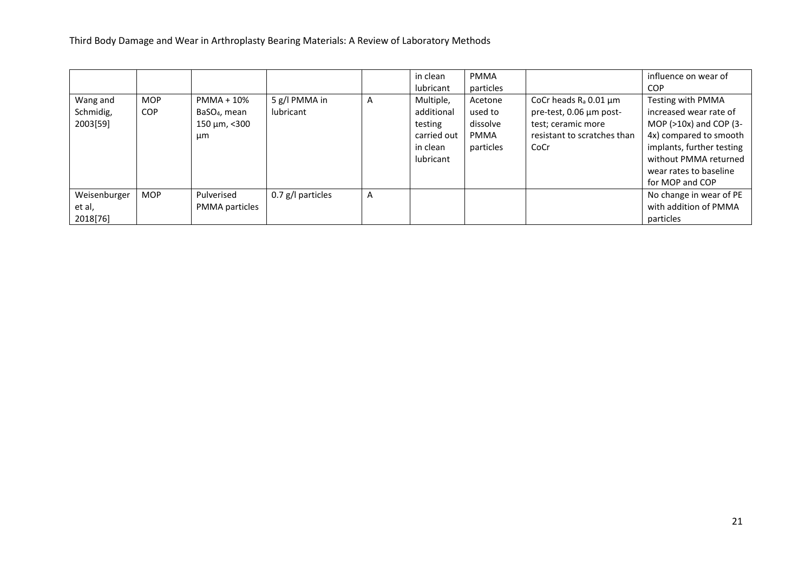|                                   |                          |                                                                    |                            |   | in clean<br>lubricant                                                      | <b>PMMA</b><br>particles                                   |                                                                                                                       | influence on wear of<br><b>COP</b>                                                                                                                                                                     |
|-----------------------------------|--------------------------|--------------------------------------------------------------------|----------------------------|---|----------------------------------------------------------------------------|------------------------------------------------------------|-----------------------------------------------------------------------------------------------------------------------|--------------------------------------------------------------------------------------------------------------------------------------------------------------------------------------------------------|
| Wang and<br>Schmidig,<br>2003[59] | <b>MOP</b><br><b>COP</b> | PMMA + 10%<br>BaSO <sub>4</sub> , mean<br>$150 \mu m, < 300$<br>μm | 5 g/l PMMA in<br>lubricant | A | Multiple,<br>additional<br>testing<br>carried out<br>in clean<br>lubricant | Acetone<br>used to<br>dissolve<br><b>PMMA</b><br>particles | CoCr heads $R_a$ 0.01 $\mu$ m<br>pre-test, 0.06 µm post-<br>test; ceramic more<br>resistant to scratches than<br>CoCr | Testing with PMMA<br>increased wear rate of<br>MOP ( $>10x$ ) and COP (3-<br>4x) compared to smooth<br>implants, further testing<br>without PMMA returned<br>wear rates to baseline<br>for MOP and COP |
| Weisenburger                      | <b>MOP</b>               | Pulverised                                                         | $0.7$ g/l particles        | A |                                                                            |                                                            |                                                                                                                       | No change in wear of PE                                                                                                                                                                                |
| et al,                            |                          | PMMA particles                                                     |                            |   |                                                                            |                                                            |                                                                                                                       | with addition of PMMA                                                                                                                                                                                  |
| 2018[76]                          |                          |                                                                    |                            |   |                                                                            |                                                            |                                                                                                                       | particles                                                                                                                                                                                              |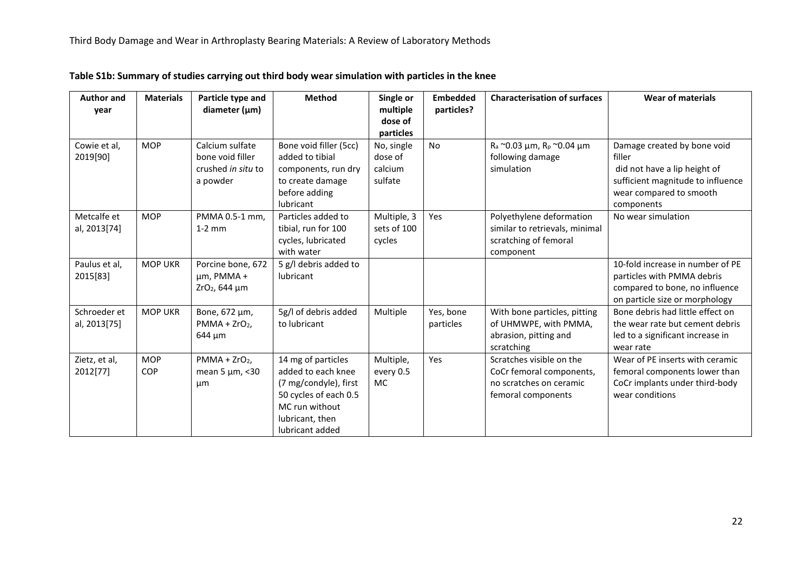| <b>Author and</b> | <b>Materials</b> | Particle type and         | <b>Method</b>          | Single or   | <b>Embedded</b> | <b>Characterisation of surfaces</b> | <b>Wear of materials</b>          |
|-------------------|------------------|---------------------------|------------------------|-------------|-----------------|-------------------------------------|-----------------------------------|
| year              |                  | diameter $(\mu m)$        |                        | multiple    | particles?      |                                     |                                   |
|                   |                  |                           |                        | dose of     |                 |                                     |                                   |
|                   |                  |                           |                        | particles   |                 |                                     |                                   |
| Cowie et al,      | <b>MOP</b>       | Calcium sulfate           | Bone void filler (5cc) | No, single  | No              | $R_a$ ~0.03 µm, $R_p$ ~0.04 µm      | Damage created by bone void       |
| 2019[90]          |                  | bone void filler          | added to tibial        | dose of     |                 | following damage                    | filler                            |
|                   |                  | crushed in situ to        | components, run dry    | calcium     |                 | simulation                          | did not have a lip height of      |
|                   |                  | a powder                  | to create damage       | sulfate     |                 |                                     | sufficient magnitude to influence |
|                   |                  |                           | before adding          |             |                 |                                     | wear compared to smooth           |
|                   |                  |                           | lubricant              |             |                 |                                     | components                        |
| Metcalfe et       | <b>MOP</b>       | PMMA 0.5-1 mm,            | Particles added to     | Multiple, 3 | Yes             | Polyethylene deformation            | No wear simulation                |
| al, 2013[74]      |                  | $1-2$ mm                  | tibial, run for 100    | sets of 100 |                 | similar to retrievals, minimal      |                                   |
|                   |                  |                           | cycles, lubricated     | cycles      |                 | scratching of femoral               |                                   |
|                   |                  |                           | with water             |             |                 | component                           |                                   |
| Paulus et al,     | <b>MOP UKR</b>   | Porcine bone, 672         | 5 g/l debris added to  |             |                 |                                     | 10-fold increase in number of PE  |
| 2015[83]          |                  | $µm$ , PMMA +             | lubricant              |             |                 |                                     | particles with PMMA debris        |
|                   |                  | ZrO <sub>2</sub> , 644 µm |                        |             |                 |                                     | compared to bone, no influence    |
|                   |                  |                           |                        |             |                 |                                     | on particle size or morphology    |
| Schroeder et      | <b>MOP UKR</b>   | Bone, 672 µm,             | 5g/l of debris added   | Multiple    | Yes, bone       | With bone particles, pitting        | Bone debris had little effect on  |
| al, 2013[75]      |                  | $PMMA + ZrO2$             | to lubricant           |             | particles       | of UHMWPE, with PMMA,               | the wear rate but cement debris   |
|                   |                  | 644 µm                    |                        |             |                 | abrasion, pitting and               | led to a significant increase in  |
|                   |                  |                           |                        |             |                 | scratching                          | wear rate                         |
| Zietz, et al,     | <b>MOP</b>       | $PMMA + ZrO2$ ,           | 14 mg of particles     | Multiple,   | Yes             | Scratches visible on the            | Wear of PE inserts with ceramic   |
| 2012[77]          | COP              | mean 5 $\mu$ m, <30       | added to each knee     | every 0.5   |                 | CoCr femoral components,            | femoral components lower than     |
|                   |                  | μm                        | (7 mg/condyle), first  | <b>MC</b>   |                 | no scratches on ceramic             | CoCr implants under third-body    |
|                   |                  |                           | 50 cycles of each 0.5  |             |                 | femoral components                  | wear conditions                   |
|                   |                  |                           | MC run without         |             |                 |                                     |                                   |
|                   |                  |                           | lubricant, then        |             |                 |                                     |                                   |
|                   |                  |                           | lubricant added        |             |                 |                                     |                                   |

**Table S1b: Summary of studies carrying out third body wear simulation with particles in the knee**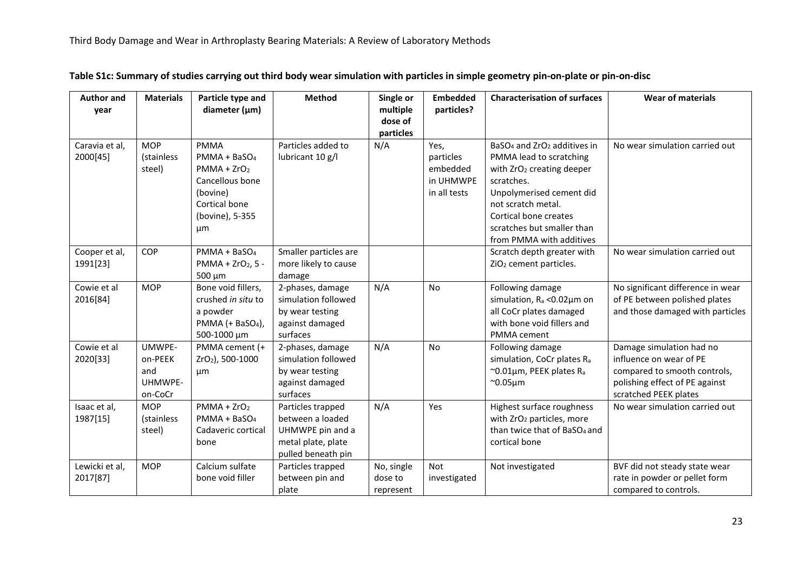| <b>Author and</b>        | <b>Materials</b>      | Particle type and            | <b>Method</b>                         | Single or            | <b>Embedded</b> | <b>Characterisation of surfaces</b>                 | <b>Wear of materials</b>                                |
|--------------------------|-----------------------|------------------------------|---------------------------------------|----------------------|-----------------|-----------------------------------------------------|---------------------------------------------------------|
| year                     |                       | diameter $(\mu m)$           |                                       | multiple             | particles?      |                                                     |                                                         |
|                          |                       |                              |                                       | dose of<br>particles |                 |                                                     |                                                         |
| Caravia et al,           | <b>MOP</b>            | <b>PMMA</b>                  | Particles added to                    | N/A                  | Yes,            | BaSO <sub>4</sub> and ZrO <sub>2</sub> additives in | No wear simulation carried out                          |
| 2000[45]                 | (stainless            | $PMMA + BaSO4$               | lubricant 10 g/l                      |                      | particles       | PMMA lead to scratching                             |                                                         |
|                          | steel)                | $PMMA + ZrO2$                |                                       |                      | embedded        | with ZrO <sub>2</sub> creating deeper               |                                                         |
|                          |                       | Cancellous bone              |                                       |                      | in UHMWPE       | scratches.                                          |                                                         |
|                          |                       | (bovine)                     |                                       |                      | in all tests    | Unpolymerised cement did                            |                                                         |
|                          |                       | Cortical bone                |                                       |                      |                 | not scratch metal.                                  |                                                         |
|                          |                       | (bovine), 5-355              |                                       |                      |                 | Cortical bone creates                               |                                                         |
|                          |                       | μm                           |                                       |                      |                 | scratches but smaller than                          |                                                         |
|                          |                       |                              |                                       |                      |                 | from PMMA with additives                            |                                                         |
| Cooper et al,            | COP                   | $PMMA + BaSO4$               | Smaller particles are                 |                      |                 | Scratch depth greater with                          | No wear simulation carried out                          |
| 1991[23]                 |                       | $PMMA + ZrO2, 5 -$           | more likely to cause                  |                      |                 | ZiO <sub>2</sub> cement particles.                  |                                                         |
|                          |                       | 500 µm                       | damage                                |                      |                 |                                                     |                                                         |
| Cowie et al              | <b>MOP</b>            | Bone void fillers,           | 2-phases, damage                      | N/A                  | No              | Following damage                                    | No significant difference in wear                       |
| 2016[84]                 |                       | crushed in situ to           | simulation followed                   |                      |                 | simulation, $R_a < 0.02 \mu m$ on                   | of PE between polished plates                           |
|                          |                       | a powder                     | by wear testing                       |                      |                 | all CoCr plates damaged                             | and those damaged with particles                        |
|                          |                       | PMMA (+ BaSO <sub>4</sub> ), | against damaged                       |                      |                 | with bone void fillers and                          |                                                         |
|                          |                       | 500-1000 µm                  | surfaces                              |                      |                 | PMMA cement                                         |                                                         |
| Cowie et al              | UMWPE-                | PMMA cement (+               | 2-phases, damage                      | N/A                  | No              | Following damage                                    | Damage simulation had no                                |
| 2020[33]                 | on-PEEK               | ZrO <sub>2</sub> ), 500-1000 | simulation followed                   |                      |                 | simulation, CoCr plates Ra                          | influence on wear of PE                                 |
|                          | and                   | μm                           | by wear testing                       |                      |                 | ~0.01µm, PEEK plates R <sub>a</sub>                 | compared to smooth controls,                            |
|                          | UHMWPE-               |                              | against damaged                       |                      |                 | $^{\sim}$ 0.05 $\mu$ m                              | polishing effect of PE against                          |
|                          | on-CoCr<br><b>MOP</b> | $PMMA + ZrO2$                | surfaces                              | N/A                  | Yes             | Highest surface roughness                           | scratched PEEK plates<br>No wear simulation carried out |
| Isaac et al,<br>1987[15] | (stainless            | $PMMA + BaSO4$               | Particles trapped<br>between a loaded |                      |                 | with ZrO <sub>2</sub> particles, more               |                                                         |
|                          | steel)                | Cadaveric cortical           | UHMWPE pin and a                      |                      |                 | than twice that of BaSO <sub>4</sub> and            |                                                         |
|                          |                       | bone                         | metal plate, plate                    |                      |                 | cortical bone                                       |                                                         |
|                          |                       |                              | pulled beneath pin                    |                      |                 |                                                     |                                                         |
| Lewicki et al,           | <b>MOP</b>            | Calcium sulfate              | Particles trapped                     | No, single           | Not             | Not investigated                                    | BVF did not steady state wear                           |
| 2017[87]                 |                       | bone void filler             | between pin and                       | dose to              | investigated    |                                                     | rate in powder or pellet form                           |
|                          |                       |                              | plate                                 | represent            |                 |                                                     | compared to controls.                                   |

**Table S1c: Summary of studies carrying out third body wear simulation with particles in simple geometry pin-on-plate or pin-on-disc**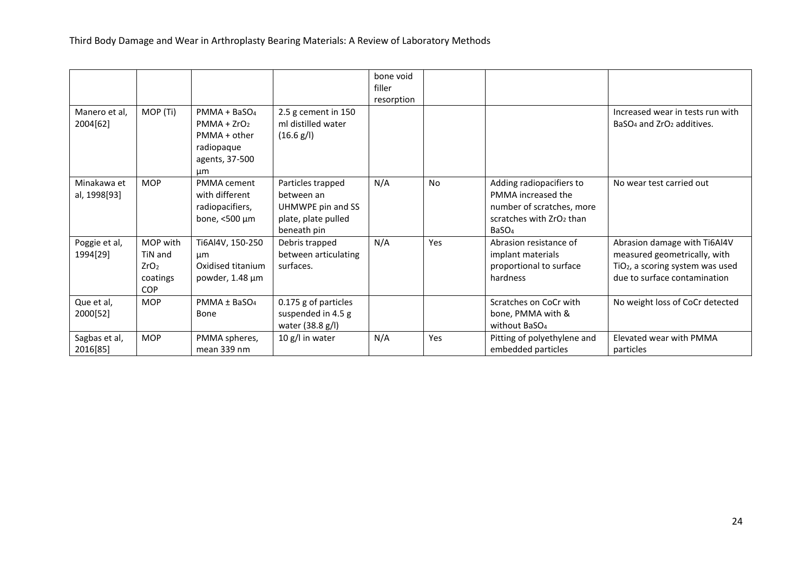| Manero et al,               | MOP (Ti)                                                          | $PMMA + BaSO4$                                                      | 2.5 g cement in 150                                                                        | bone void<br>filler<br>resorption |           |                                                                                                                                          | Increased wear in tests run with                                                                                                             |
|-----------------------------|-------------------------------------------------------------------|---------------------------------------------------------------------|--------------------------------------------------------------------------------------------|-----------------------------------|-----------|------------------------------------------------------------------------------------------------------------------------------------------|----------------------------------------------------------------------------------------------------------------------------------------------|
| 2004[62]                    |                                                                   | $PMMA + ZrO2$<br>PMMA + other<br>radiopaque<br>agents, 37-500<br>µm | ml distilled water<br>(16.6 g/l)                                                           |                                   |           |                                                                                                                                          | BaSO <sub>4</sub> and ZrO <sub>2</sub> additives.                                                                                            |
| Minakawa et<br>al, 1998[93] | <b>MOP</b>                                                        | PMMA cement<br>with different<br>radiopacifiers,<br>bone, <500 μm   | Particles trapped<br>between an<br>UHMWPE pin and SS<br>plate, plate pulled<br>beneath pin | N/A                               | <b>No</b> | Adding radiopacifiers to<br>PMMA increased the<br>number of scratches, more<br>scratches with ZrO <sub>2</sub> than<br>BaSO <sub>4</sub> | No wear test carried out                                                                                                                     |
| Poggie et al,<br>1994[29]   | MOP with<br>TiN and<br>ZrO <sub>2</sub><br>coatings<br><b>COP</b> | Ti6Al4V, 150-250<br>μm<br>Oxidised titanium<br>powder, 1.48 µm      | Debris trapped<br>between articulating<br>surfaces.                                        | N/A                               | Yes       | Abrasion resistance of<br>implant materials<br>proportional to surface<br>hardness                                                       | Abrasion damage with Ti6Al4V<br>measured geometrically, with<br>TiO <sub>2</sub> , a scoring system was used<br>due to surface contamination |
| Que et al,<br>2000[52]      | <b>MOP</b>                                                        | $PMMA \pm BaSO4$<br>Bone                                            | 0.175 g of particles<br>suspended in 4.5 g<br>water (38.8 g/l)                             |                                   |           | Scratches on CoCr with<br>bone, PMMA with &<br>without BaSO <sub>4</sub>                                                                 | No weight loss of CoCr detected                                                                                                              |
| Sagbas et al,<br>2016[85]   | <b>MOP</b>                                                        | PMMA spheres,<br>mean 339 nm                                        | 10 g/l in water                                                                            | N/A                               | Yes       | Pitting of polyethylene and<br>embedded particles                                                                                        | Elevated wear with PMMA<br>particles                                                                                                         |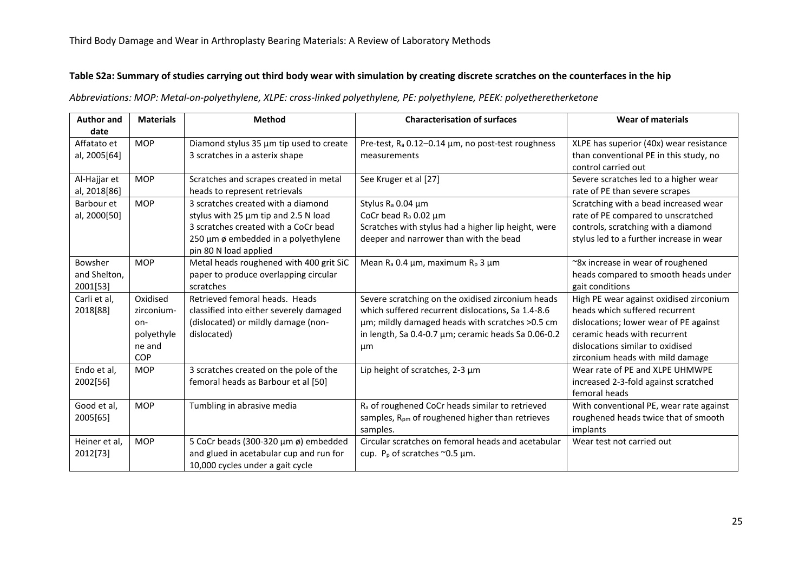## **Table S2a: Summary of studies carrying out third body wear with simulation by creating discrete scratches on the counterfaces in the hip**

*Abbreviations: MOP: Metal-on-polyethylene, XLPE: cross-linked polyethylene, PE: polyethylene, PEEK: polyetheretherketone*

| <b>Author and</b>                   | <b>Materials</b>                                                    | Method                                                                                                                                                                             | <b>Characterisation of surfaces</b>                                                                                                                                                                                    | <b>Wear of materials</b>                                                                                                                                                                                                    |
|-------------------------------------|---------------------------------------------------------------------|------------------------------------------------------------------------------------------------------------------------------------------------------------------------------------|------------------------------------------------------------------------------------------------------------------------------------------------------------------------------------------------------------------------|-----------------------------------------------------------------------------------------------------------------------------------------------------------------------------------------------------------------------------|
| date<br>Affatato et<br>al, 2005[64] | <b>MOP</b>                                                          | Diamond stylus 35 µm tip used to create<br>3 scratches in a asterix shape                                                                                                          | Pre-test, R <sub>a</sub> 0.12-0.14 µm, no post-test roughness<br>measurements                                                                                                                                          | XLPE has superior (40x) wear resistance<br>than conventional PE in this study, no<br>control carried out                                                                                                                    |
| Al-Hajjar et<br>al, 2018[86]        | <b>MOP</b>                                                          | Scratches and scrapes created in metal<br>heads to represent retrievals                                                                                                            | See Kruger et al [27]                                                                                                                                                                                                  | Severe scratches led to a higher wear<br>rate of PE than severe scrapes                                                                                                                                                     |
| Barbour et<br>al, 2000[50]          | <b>MOP</b>                                                          | 3 scratches created with a diamond<br>stylus with 25 µm tip and 2.5 N load<br>3 scratches created with a CoCr bead<br>250 µm ø embedded in a polyethylene<br>pin 80 N load applied | Stylus R <sub>a</sub> 0.04 µm<br>CoCr bead $R_a$ 0.02 $\mu$ m<br>Scratches with stylus had a higher lip height, were<br>deeper and narrower than with the bead                                                         | Scratching with a bead increased wear<br>rate of PE compared to unscratched<br>controls, scratching with a diamond<br>stylus led to a further increase in wear                                                              |
| Bowsher<br>and Shelton,<br>2001[53] | <b>MOP</b>                                                          | Metal heads roughened with 400 grit SiC<br>paper to produce overlapping circular<br>scratches                                                                                      | Mean $R_a$ 0.4 $\mu$ m, maximum $R_p$ 3 $\mu$ m                                                                                                                                                                        | ~8x increase in wear of roughened<br>heads compared to smooth heads under<br>gait conditions                                                                                                                                |
| Carli et al,<br>2018[88]            | Oxidised<br>zirconium-<br>on-<br>polyethyle<br>ne and<br><b>COP</b> | Retrieved femoral heads. Heads<br>classified into either severely damaged<br>(dislocated) or mildly damage (non-<br>dislocated)                                                    | Severe scratching on the oxidised zirconium heads<br>which suffered recurrent dislocations, Sa 1.4-8.6<br>µm; mildly damaged heads with scratches >0.5 cm<br>in length, Sa 0.4-0.7 µm; ceramic heads Sa 0.06-0.2<br>μm | High PE wear against oxidised zirconium<br>heads which suffered recurrent<br>dislocations; lower wear of PE against<br>ceramic heads with recurrent<br>dislocations similar to oxidised<br>zirconium heads with mild damage |
| Endo et al,<br>2002[56]             | <b>MOP</b>                                                          | 3 scratches created on the pole of the<br>femoral heads as Barbour et al [50]                                                                                                      | Lip height of scratches, 2-3 µm                                                                                                                                                                                        | Wear rate of PE and XLPE UHMWPE<br>increased 2-3-fold against scratched<br>femoral heads                                                                                                                                    |
| Good et al,<br>2005[65]             | <b>MOP</b>                                                          | Tumbling in abrasive media                                                                                                                                                         | R <sub>a</sub> of roughened CoCr heads similar to retrieved<br>samples, R <sub>pm</sub> of roughened higher than retrieves<br>samples.                                                                                 | With conventional PE, wear rate against<br>roughened heads twice that of smooth<br>implants                                                                                                                                 |
| Heiner et al,<br>2012[73]           | <b>MOP</b>                                                          | 5 CoCr beads (300-320 µm ø) embedded<br>and glued in acetabular cup and run for<br>10,000 cycles under a gait cycle                                                                | Circular scratches on femoral heads and acetabular<br>cup. $P_p$ of scratches $\sim$ 0.5 µm.                                                                                                                           | Wear test not carried out                                                                                                                                                                                                   |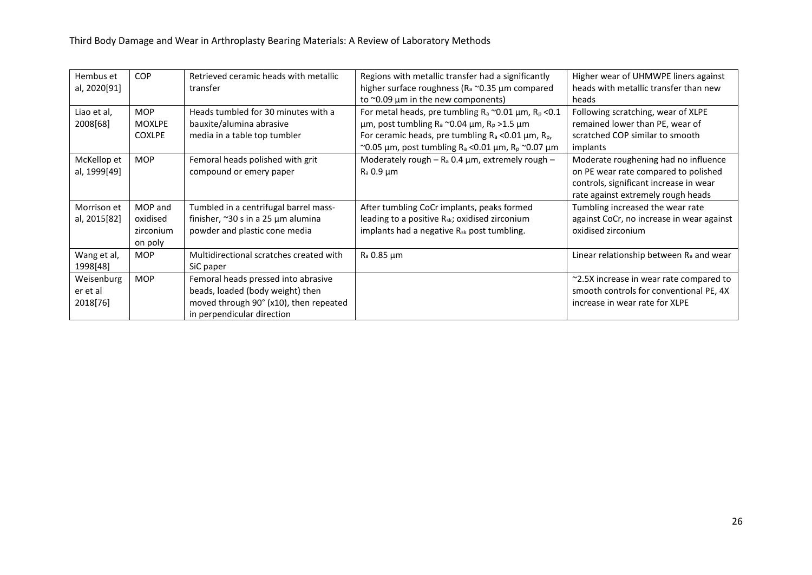| Hembus et    | <b>COP</b>    | Retrieved ceramic heads with metallic   | Regions with metallic transfer had a significantly                       | Higher wear of UHMWPE liners against                |
|--------------|---------------|-----------------------------------------|--------------------------------------------------------------------------|-----------------------------------------------------|
| al, 2020[91] |               | transfer                                | higher surface roughness ( $R_a \sim 0.35$ µm compared                   | heads with metallic transfer than new               |
|              |               |                                         | to $\sim$ 0.09 µm in the new components)                                 | heads                                               |
| Liao et al,  | <b>MOP</b>    | Heads tumbled for 30 minutes with a     | For metal heads, pre tumbling $R_a \sim 0.01$ µm, $R_p \ll 0.1$          | Following scratching, wear of XLPE                  |
| 2008[68]     | <b>MOXLPE</b> | bauxite/alumina abrasive                | μm, post tumbling R <sub>a</sub> ~0.04 μm, R <sub>p</sub> >1.5 μm        | remained lower than PE, wear of                     |
|              | <b>COXLPE</b> | media in a table top tumbler            | For ceramic heads, pre tumbling $R_a$ <0.01 $\mu$ m, $R_p$ ,             | scratched COP similar to smooth                     |
|              |               |                                         | ~0.05 µm, post tumbling R <sub>a</sub> <0.01 µm, R <sub>p</sub> ~0.07 µm | implants                                            |
| McKellop et  | <b>MOP</b>    | Femoral heads polished with grit        | Moderately rough – $R_a$ 0.4 $\mu$ m, extremely rough –                  | Moderate roughening had no influence                |
| al, 1999[49] |               | compound or emery paper                 | $R_a$ 0.9 $\mu$ m                                                        | on PE wear rate compared to polished                |
|              |               |                                         |                                                                          | controls, significant increase in wear              |
|              |               |                                         |                                                                          | rate against extremely rough heads                  |
| Morrison et  | MOP and       | Tumbled in a centrifugal barrel mass-   | After tumbling CoCr implants, peaks formed                               | Tumbling increased the wear rate                    |
| al, 2015[82] | oxidised      | finisher, ~30 s in a 25 µm alumina      | leading to a positive R <sub>sk</sub> ; oxidised zirconium               | against CoCr, no increase in wear against           |
|              | zirconium     | powder and plastic cone media           | implants had a negative $R_{sk}$ post tumbling.                          | oxidised zirconium                                  |
|              | on poly       |                                         |                                                                          |                                                     |
| Wang et al,  | <b>MOP</b>    | Multidirectional scratches created with | R <sub>a</sub> 0.85 µm                                                   | Linear relationship between R <sub>a</sub> and wear |
| 1998[48]     |               | SiC paper                               |                                                                          |                                                     |
| Weisenburg   | <b>MOP</b>    | Femoral heads pressed into abrasive     |                                                                          | ~2.5X increase in wear rate compared to             |
| er et al     |               | beads, loaded (body weight) then        |                                                                          | smooth controls for conventional PE, 4X             |
| 2018[76]     |               | moved through 90° (x10), then repeated  |                                                                          | increase in wear rate for XLPE                      |
|              |               | in perpendicular direction              |                                                                          |                                                     |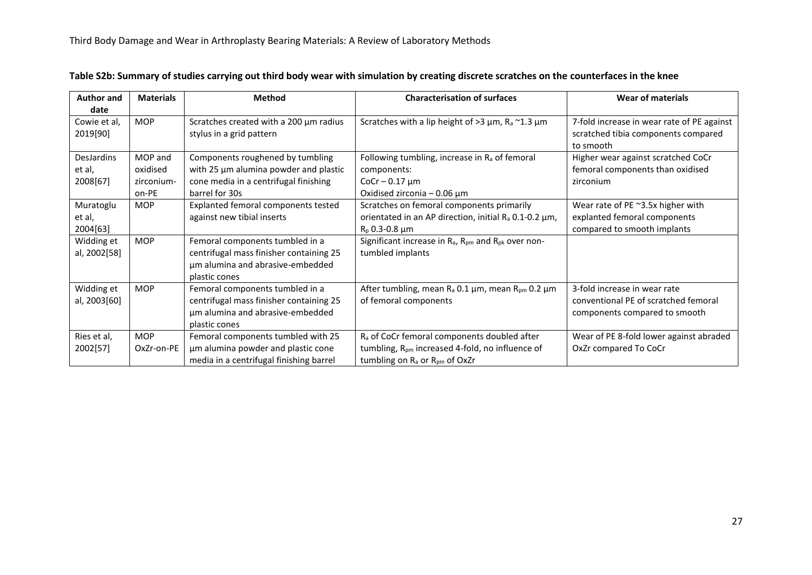| <b>Author and</b><br>date               | <b>Materials</b>                           | <b>Method</b>                                                                                                                        | <b>Characterisation of surfaces</b>                                                                                                                             | <b>Wear of materials</b>                                                                              |
|-----------------------------------------|--------------------------------------------|--------------------------------------------------------------------------------------------------------------------------------------|-----------------------------------------------------------------------------------------------------------------------------------------------------------------|-------------------------------------------------------------------------------------------------------|
| Cowie et al,<br>2019[90]                | <b>MOP</b>                                 | Scratches created with a 200 µm radius<br>stylus in a grid pattern                                                                   | Scratches with a lip height of >3 $\mu$ m, R <sub>a</sub> ~1.3 $\mu$ m                                                                                          | 7-fold increase in wear rate of PE against<br>scratched tibia components compared<br>to smooth        |
| <b>DesJardins</b><br>et al,<br>2008[67] | MOP and<br>oxidised<br>zirconium-<br>on-PE | Components roughened by tumbling<br>with 25 µm alumina powder and plastic<br>cone media in a centrifugal finishing<br>barrel for 30s | Following tumbling, increase in R <sub>a</sub> of femoral<br>components:<br>$CoCr - 0.17 \mu m$<br>Oxidised zirconia $-0.06 \mu m$                              | Higher wear against scratched CoCr<br>femoral components than oxidised<br>zirconium                   |
| Muratoglu<br>et al,<br>2004[63]         | <b>MOP</b>                                 | Explanted femoral components tested<br>against new tibial inserts                                                                    | Scratches on femoral components primarily<br>orientated in an AP direction, initial R <sub>a</sub> 0.1-0.2 μm,<br>$R_p$ 0.3-0.8 $\mu$ m                         | Wear rate of PE ~3.5x higher with<br>explanted femoral components<br>compared to smooth implants      |
| Widding et<br>al, 2002[58]              | <b>MOP</b>                                 | Femoral components tumbled in a<br>centrifugal mass finisher containing 25<br>um alumina and abrasive-embedded<br>plastic cones      | Significant increase in $R_a$ , $R_{pm}$ and $R_{pk}$ over non-<br>tumbled implants                                                                             |                                                                                                       |
| Widding et<br>al, 2003[60]              | <b>MOP</b>                                 | Femoral components tumbled in a<br>centrifugal mass finisher containing 25<br>um alumina and abrasive-embedded<br>plastic cones      | After tumbling, mean R <sub>a</sub> 0.1 μm, mean R <sub>pm</sub> 0.2 μm<br>of femoral components                                                                | 3-fold increase in wear rate<br>conventional PE of scratched femoral<br>components compared to smooth |
| Ries et al,<br>2002[57]                 | <b>MOP</b><br>OxZr-on-PE                   | Femoral components tumbled with 25<br>um alumina powder and plastic cone<br>media in a centrifugal finishing barrel                  | R <sub>a</sub> of CoCr femoral components doubled after<br>tumbling, R <sub>pm</sub> increased 4-fold, no influence of<br>tumbling on $R_a$ or $R_{pm}$ of OxZr | Wear of PE 8-fold lower against abraded<br>OxZr compared To CoCr                                      |

## **Table S2b: Summary of studies carrying out third body wear with simulation by creating discrete scratches on the counterfaces in the knee**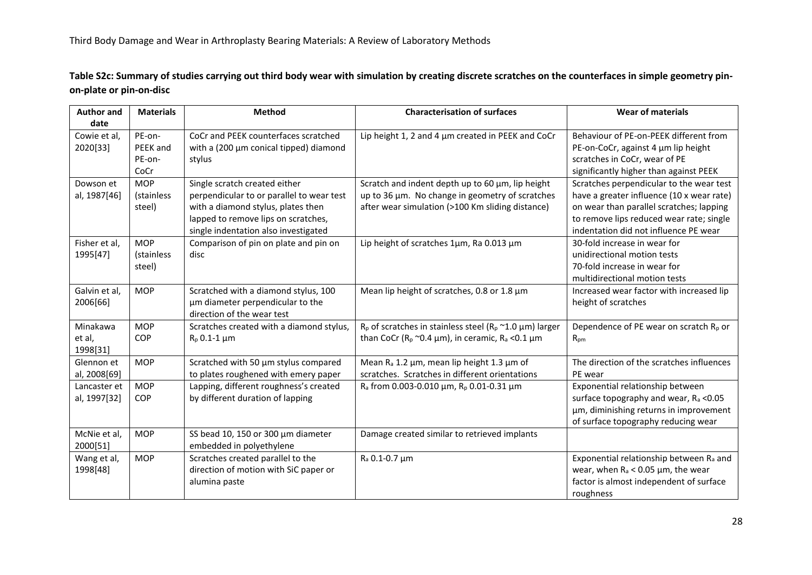**Table S2c: Summary of studies carrying out third body wear with simulation by creating discrete scratches on the counterfaces in simple geometry pinon-plate or pin-on-disc**

| <b>Author and</b> | <b>Materials</b> | <b>Method</b>                             | <b>Characterisation of surfaces</b>                                      | <b>Wear of materials</b>                            |
|-------------------|------------------|-------------------------------------------|--------------------------------------------------------------------------|-----------------------------------------------------|
| date              |                  |                                           |                                                                          |                                                     |
| Cowie et al,      | PE-on-           | CoCr and PEEK counterfaces scratched      | Lip height 1, 2 and 4 µm created in PEEK and CoCr                        | Behaviour of PE-on-PEEK different from              |
| 2020[33]          | PEEK and         | with a (200 µm conical tipped) diamond    |                                                                          | PE-on-CoCr, against 4 um lip height                 |
|                   | PE-on-           | stylus                                    |                                                                          | scratches in CoCr, wear of PE                       |
|                   | CoCr             |                                           |                                                                          | significantly higher than against PEEK              |
| Dowson et         | <b>MOP</b>       | Single scratch created either             | Scratch and indent depth up to 60 µm, lip height                         | Scratches perpendicular to the wear test            |
| al, 1987[46]      | (stainless       | perpendicular to or parallel to wear test | up to 36 µm. No change in geometry of scratches                          | have a greater influence (10 x wear rate)           |
|                   | steel)           | with a diamond stylus, plates then        | after wear simulation (>100 Km sliding distance)                         | on wear than parallel scratches; lapping            |
|                   |                  | lapped to remove lips on scratches,       |                                                                          | to remove lips reduced wear rate; single            |
|                   |                  | single indentation also investigated      |                                                                          | indentation did not influence PE wear               |
| Fisher et al,     | <b>MOP</b>       | Comparison of pin on plate and pin on     | Lip height of scratches 1um, Ra 0.013 um                                 | 30-fold increase in wear for                        |
| 1995[47]          | (stainless       | disc                                      |                                                                          | unidirectional motion tests                         |
|                   | steel)           |                                           |                                                                          | 70-fold increase in wear for                        |
|                   |                  |                                           |                                                                          | multidirectional motion tests                       |
| Galvin et al,     | <b>MOP</b>       | Scratched with a diamond stylus, 100      | Mean lip height of scratches, 0.8 or 1.8 µm                              | Increased wear factor with increased lip            |
| 2006[66]          |                  | µm diameter perpendicular to the          |                                                                          | height of scratches                                 |
|                   |                  | direction of the wear test                |                                                                          |                                                     |
| Minakawa          | <b>MOP</b>       | Scratches created with a diamond stylus,  | $R_p$ of scratches in stainless steel ( $R_p \approx 1.0 \mu m$ ) larger | Dependence of PE wear on scratch $R_p$ or           |
| et al,            | <b>COP</b>       | $R_p$ 0.1-1 $\mu$ m                       | than CoCr ( $R_p \sim 0.4 \mu m$ ), in ceramic, $R_a \ll 0.1 \mu m$      | R <sub>pm</sub>                                     |
| 1998[31]          |                  |                                           |                                                                          |                                                     |
| Glennon et        | <b>MOP</b>       | Scratched with 50 µm stylus compared      | Mean $R_a$ 1.2 $\mu$ m, mean lip height 1.3 $\mu$ m of                   | The direction of the scratches influences           |
| al, 2008[69]      |                  | to plates roughened with emery paper      | scratches. Scratches in different orientations                           | PE wear                                             |
| Lancaster et      | <b>MOP</b>       | Lapping, different roughness's created    | R <sub>a</sub> from 0.003-0.010 μm, R <sub>p</sub> 0.01-0.31 μm          | Exponential relationship between                    |
| al, 1997[32]      | <b>COP</b>       | by different duration of lapping          |                                                                          | surface topography and wear, R <sub>a</sub> <0.05   |
|                   |                  |                                           |                                                                          | um, diminishing returns in improvement              |
|                   |                  |                                           |                                                                          | of surface topography reducing wear                 |
| McNie et al,      | <b>MOP</b>       | SS bead 10, 150 or 300 µm diameter        | Damage created similar to retrieved implants                             |                                                     |
| 2000[51]          |                  | embedded in polyethylene                  |                                                                          |                                                     |
| Wang et al,       | <b>MOP</b>       | Scratches created parallel to the         | $R_a$ 0.1-0.7 $\mu$ m                                                    | Exponential relationship between R <sub>a</sub> and |
| 1998[48]          |                  | direction of motion with SiC paper or     |                                                                          | wear, when $R_a < 0.05$ µm, the wear                |
|                   |                  | alumina paste                             |                                                                          | factor is almost independent of surface             |
|                   |                  |                                           |                                                                          | roughness                                           |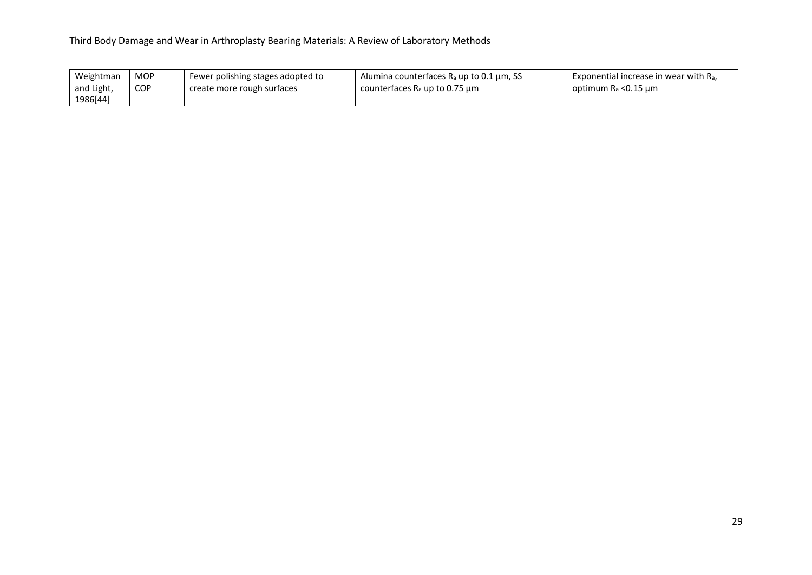| Weightman  | <b>MOP</b> | Fewer polishing stages adopted to | Alumina counterfaces $R_a$ up to 0.1 $\mu$ m, SS | Exponential increase in wear with $R_a$ , |
|------------|------------|-----------------------------------|--------------------------------------------------|-------------------------------------------|
| and Light, | <b>COP</b> | create more rough surfaces        | counterfaces $R_a$ up to 0.75 $\mu$ m            | optimum $R_a < 0.15$ µm                   |
| 1986[44]   |            |                                   |                                                  |                                           |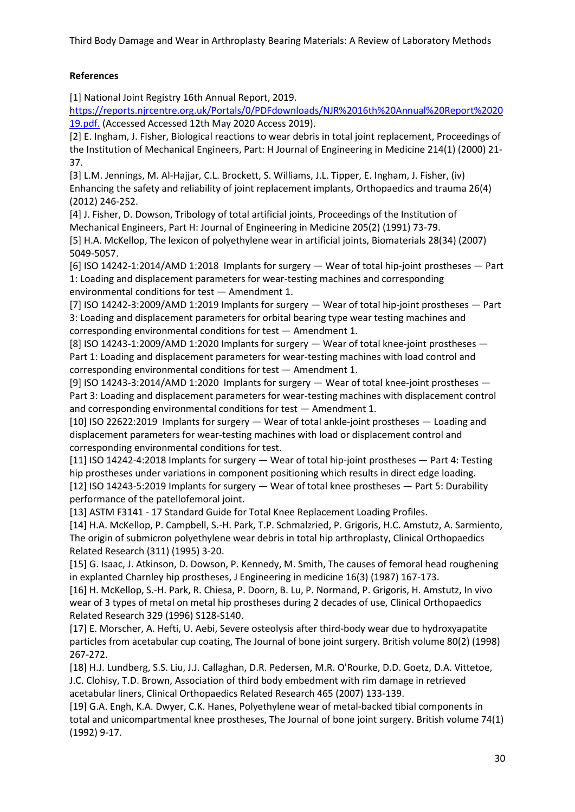## **References**

[1] National Joint Registry 16th Annual Report, 2019.

[https://reports.njrcentre.org.uk/Portals/0/PDFdownloads/NJR%2016th%20Annual%20Report%2020](ttps://reports.njrcentre.org.uk/Portals/0/PDFdownloads/NJR%2016th%20Annual%20Report%202019.pdf.) [19.pdf.](ttps://reports.njrcentre.org.uk/Portals/0/PDFdownloads/NJR%2016th%20Annual%20Report%202019.pdf.) (Accessed Accessed 12th May 2020 Access 2019).

[2] E. Ingham, J. Fisher, Biological reactions to wear debris in total joint replacement, Proceedings of the Institution of Mechanical Engineers, Part: H Journal of Engineering in Medicine 214(1) (2000) 21- 37.

[3] L.M. Jennings, M. Al-Hajjar, C.L. Brockett, S. Williams, J.L. Tipper, E. Ingham, J. Fisher, (iv) Enhancing the safety and reliability of joint replacement implants, Orthopaedics and trauma 26(4) (2012) 246-252.

[4] J. Fisher, D. Dowson, Tribology of total artificial joints, Proceedings of the Institution of Mechanical Engineers, Part H: Journal of Engineering in Medicine 205(2) (1991) 73-79.

[5] H.A. McKellop, The lexicon of polyethylene wear in artificial joints, Biomaterials 28(34) (2007) 5049-5057.

[6] ISO 14242-1:2014/AMD 1:2018 Implants for surgery — Wear of total hip-joint prostheses — Part 1: Loading and displacement parameters for wear-testing machines and corresponding environmental conditions for test — Amendment 1.

[7] ISO 14242-3:2009/AMD 1:2019 Implants for surgery — Wear of total hip-joint prostheses — Part 3: Loading and displacement parameters for orbital bearing type wear testing machines and corresponding environmental conditions for test — Amendment 1.

[8] ISO 14243-1:2009/AMD 1:2020 Implants for surgery — Wear of total knee-joint prostheses — Part 1: Loading and displacement parameters for wear-testing machines with load control and corresponding environmental conditions for test — Amendment 1.

[9] ISO 14243-3:2014/AMD 1:2020 Implants for surgery — Wear of total knee-joint prostheses — Part 3: Loading and displacement parameters for wear-testing machines with displacement control and corresponding environmental conditions for test — Amendment 1.

[10] ISO 22622:2019 Implants for surgery — Wear of total ankle-joint prostheses — Loading and displacement parameters for wear-testing machines with load or displacement control and corresponding environmental conditions for test.

[11] ISO 14242-4:2018 Implants for surgery — Wear of total hip-joint prostheses — Part 4: Testing hip prostheses under variations in component positioning which results in direct edge loading. [12] ISO 14243-5:2019 Implants for surgery — Wear of total knee prostheses — Part 5: Durability performance of the patellofemoral joint.

[13] ASTM F3141 - 17 Standard Guide for Total Knee Replacement Loading Profiles.

[14] H.A. McKellop, P. Campbell, S.-H. Park, T.P. Schmalzried, P. Grigoris, H.C. Amstutz, A. Sarmiento, The origin of submicron polyethylene wear debris in total hip arthroplasty, Clinical Orthopaedics Related Research (311) (1995) 3-20.

[15] G. Isaac, J. Atkinson, D. Dowson, P. Kennedy, M. Smith, The causes of femoral head roughening in explanted Charnley hip prostheses, J Engineering in medicine 16(3) (1987) 167-173.

[16] H. McKellop, S.-H. Park, R. Chiesa, P. Doorn, B. Lu, P. Normand, P. Grigoris, H. Amstutz, In vivo wear of 3 types of metal on metal hip prostheses during 2 decades of use, Clinical Orthopaedics Related Research 329 (1996) S128-S140.

[17] E. Morscher, A. Hefti, U. Aebi, Severe osteolysis after third-body wear due to hydroxyapatite particles from acetabular cup coating, The Journal of bone joint surgery. British volume 80(2) (1998) 267-272.

[18] H.J. Lundberg, S.S. Liu, J.J. Callaghan, D.R. Pedersen, M.R. O'Rourke, D.D. Goetz, D.A. Vittetoe, J.C. Clohisy, T.D. Brown, Association of third body embedment with rim damage in retrieved acetabular liners, Clinical Orthopaedics Related Research 465 (2007) 133-139.

[19] G.A. Engh, K.A. Dwyer, C.K. Hanes, Polyethylene wear of metal-backed tibial components in total and unicompartmental knee prostheses, The Journal of bone joint surgery. British volume 74(1) (1992) 9-17.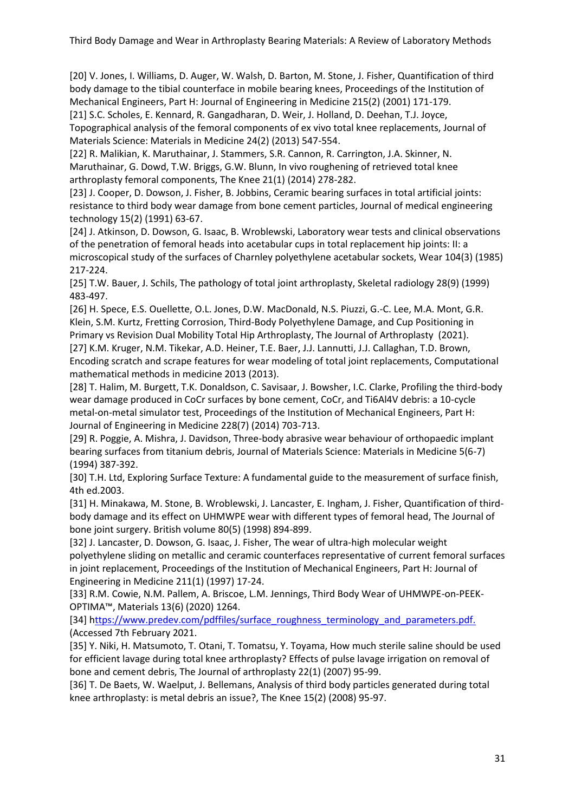[20] V. Jones, I. Williams, D. Auger, W. Walsh, D. Barton, M. Stone, J. Fisher, Quantification of third body damage to the tibial counterface in mobile bearing knees, Proceedings of the Institution of Mechanical Engineers, Part H: Journal of Engineering in Medicine 215(2) (2001) 171-179.

[21] S.C. Scholes, E. Kennard, R. Gangadharan, D. Weir, J. Holland, D. Deehan, T.J. Joyce, Topographical analysis of the femoral components of ex vivo total knee replacements, Journal of Materials Science: Materials in Medicine 24(2) (2013) 547-554.

[22] R. Malikian, K. Maruthainar, J. Stammers, S.R. Cannon, R. Carrington, J.A. Skinner, N. Maruthainar, G. Dowd, T.W. Briggs, G.W. Blunn, In vivo roughening of retrieved total knee arthroplasty femoral components, The Knee 21(1) (2014) 278-282.

[23] J. Cooper, D. Dowson, J. Fisher, B. Jobbins, Ceramic bearing surfaces in total artificial joints: resistance to third body wear damage from bone cement particles, Journal of medical engineering technology 15(2) (1991) 63-67.

[24] J. Atkinson, D. Dowson, G. Isaac, B. Wroblewski, Laboratory wear tests and clinical observations of the penetration of femoral heads into acetabular cups in total replacement hip joints: II: a microscopical study of the surfaces of Charnley polyethylene acetabular sockets, Wear 104(3) (1985) 217-224.

[25] T.W. Bauer, J. Schils, The pathology of total joint arthroplasty, Skeletal radiology 28(9) (1999) 483-497.

[26] H. Spece, E.S. Ouellette, O.L. Jones, D.W. MacDonald, N.S. Piuzzi, G.-C. Lee, M.A. Mont, G.R. Klein, S.M. Kurtz, Fretting Corrosion, Third-Body Polyethylene Damage, and Cup Positioning in Primary vs Revision Dual Mobility Total Hip Arthroplasty, The Journal of Arthroplasty (2021). [27] K.M. Kruger, N.M. Tikekar, A.D. Heiner, T.E. Baer, J.J. Lannutti, J.J. Callaghan, T.D. Brown, Encoding scratch and scrape features for wear modeling of total joint replacements, Computational mathematical methods in medicine 2013 (2013).

[28] T. Halim, M. Burgett, T.K. Donaldson, C. Savisaar, J. Bowsher, I.C. Clarke, Profiling the third-body wear damage produced in CoCr surfaces by bone cement, CoCr, and Ti6Al4V debris: a 10-cycle metal-on-metal simulator test, Proceedings of the Institution of Mechanical Engineers, Part H: Journal of Engineering in Medicine 228(7) (2014) 703-713.

[29] R. Poggie, A. Mishra, J. Davidson, Three-body abrasive wear behaviour of orthopaedic implant bearing surfaces from titanium debris, Journal of Materials Science: Materials in Medicine 5(6-7) (1994) 387-392.

[30] T.H. Ltd, Exploring Surface Texture: A fundamental guide to the measurement of surface finish, 4th ed.2003.

[31] H. Minakawa, M. Stone, B. Wroblewski, J. Lancaster, E. Ingham, J. Fisher, Quantification of thirdbody damage and its effect on UHMWPE wear with different types of femoral head, The Journal of bone joint surgery. British volume 80(5) (1998) 894-899.

[32] J. Lancaster, D. Dowson, G. Isaac, J. Fisher, The wear of ultra-high molecular weight polyethylene sliding on metallic and ceramic counterfaces representative of current femoral surfaces in joint replacement, Proceedings of the Institution of Mechanical Engineers, Part H: Journal of Engineering in Medicine 211(1) (1997) 17-24.

[33] R.M. Cowie, N.M. Pallem, A. Briscoe, L.M. Jennings, Third Body Wear of UHMWPE-on-PEEK-OPTIMA™, Materials 13(6) (2020) 1264.

[34] [https://www.predev.com/pdffiles/surface\\_roughness\\_terminology\\_and\\_parameters.pdf.](ttps://www.predev.com/pdffiles/surface_roughness_terminology_and_parameters.pdf.) (Accessed 7th February 2021.

[35] Y. Niki, H. Matsumoto, T. Otani, T. Tomatsu, Y. Toyama, How much sterile saline should be used for efficient lavage during total knee arthroplasty? Effects of pulse lavage irrigation on removal of bone and cement debris, The Journal of arthroplasty 22(1) (2007) 95-99.

[36] T. De Baets, W. Waelput, J. Bellemans, Analysis of third body particles generated during total knee arthroplasty: is metal debris an issue?, The Knee 15(2) (2008) 95-97.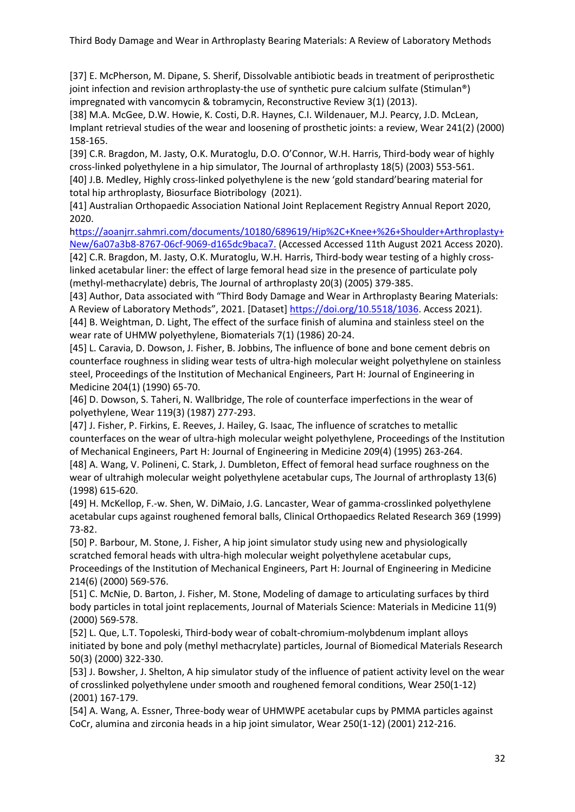[37] E. McPherson, M. Dipane, S. Sherif, Dissolvable antibiotic beads in treatment of periprosthetic joint infection and revision arthroplasty-the use of synthetic pure calcium sulfate (Stimulan®) impregnated with vancomycin & tobramycin, Reconstructive Review 3(1) (2013).

[38] M.A. McGee, D.W. Howie, K. Costi, D.R. Haynes, C.I. Wildenauer, M.J. Pearcy, J.D. McLean, Implant retrieval studies of the wear and loosening of prosthetic joints: a review, Wear 241(2) (2000) 158-165.

[39] C.R. Bragdon, M. Jasty, O.K. Muratoglu, D.O. O'Connor, W.H. Harris, Third-body wear of highly cross-linked polyethylene in a hip simulator, The Journal of arthroplasty 18(5) (2003) 553-561. [40] J.B. Medley, Highly cross‐linked polyethylene is the new 'gold standard'bearing material for total hip arthroplasty, Biosurface Biotribology (2021).

[41] Australian Orthopaedic Association National Joint Replacement Registry Annual Report 2020, 2020.

[https://aoanjrr.sahmri.com/documents/10180/689619/Hip%2C+Knee+%26+Shoulder+Arthroplasty+](ttps://aoanjrr.sahmri.com/documents/10180/689619/Hip%2C+Knee+%26+Shoulder+Arthroplasty+New/6a07a3b8-8767-06cf-9069-d165dc9baca7.) [New/6a07a3b8-8767-06cf-9069-d165dc9baca7.](ttps://aoanjrr.sahmri.com/documents/10180/689619/Hip%2C+Knee+%26+Shoulder+Arthroplasty+New/6a07a3b8-8767-06cf-9069-d165dc9baca7.) (Accessed Accessed 11th August 2021 Access 2020).

[42] C.R. Bragdon, M. Jasty, O.K. Muratoglu, W.H. Harris, Third-body wear testing of a highly crosslinked acetabular liner: the effect of large femoral head size in the presence of particulate poly (methyl-methacrylate) debris, The Journal of arthroplasty 20(3) (2005) 379-385.

[43] Author, Data associated with "Third Body Damage and Wear in Arthroplasty Bearing Materials: A Review of Laboratory Methods", 2021. [Dataset] [https://doi.org/10.5518/1036.](https://doi.org/10.5518/1036) Access 2021). [44] B. Weightman, D. Light, The effect of the surface finish of alumina and stainless steel on the wear rate of UHMW polyethylene, Biomaterials 7(1) (1986) 20-24.

[45] L. Caravia, D. Dowson, J. Fisher, B. Jobbins, The influence of bone and bone cement debris on counterface roughness in sliding wear tests of ultra-high molecular weight polyethylene on stainless steel, Proceedings of the Institution of Mechanical Engineers, Part H: Journal of Engineering in Medicine 204(1) (1990) 65-70.

[46] D. Dowson, S. Taheri, N. Wallbridge, The role of counterface imperfections in the wear of polyethylene, Wear 119(3) (1987) 277-293.

[47] J. Fisher, P. Firkins, E. Reeves, J. Hailey, G. Isaac, The influence of scratches to metallic counterfaces on the wear of ultra-high molecular weight polyethylene, Proceedings of the Institution of Mechanical Engineers, Part H: Journal of Engineering in Medicine 209(4) (1995) 263-264. [48] A. Wang, V. Polineni, C. Stark, J. Dumbleton, Effect of femoral head surface roughness on the

wear of ultrahigh molecular weight polyethylene acetabular cups, The Journal of arthroplasty 13(6) (1998) 615-620.

[49] H. McKellop, F.-w. Shen, W. DiMaio, J.G. Lancaster, Wear of gamma-crosslinked polyethylene acetabular cups against roughened femoral balls, Clinical Orthopaedics Related Research 369 (1999) 73-82.

[50] P. Barbour, M. Stone, J. Fisher, A hip joint simulator study using new and physiologically scratched femoral heads with ultra-high molecular weight polyethylene acetabular cups, Proceedings of the Institution of Mechanical Engineers, Part H: Journal of Engineering in Medicine 214(6) (2000) 569-576.

[51] C. McNie, D. Barton, J. Fisher, M. Stone, Modeling of damage to articulating surfaces by third body particles in total joint replacements, Journal of Materials Science: Materials in Medicine 11(9) (2000) 569-578.

[52] L. Que, L.T. Topoleski, Third‐body wear of cobalt‐chromium‐molybdenum implant alloys initiated by bone and poly (methyl methacrylate) particles, Journal of Biomedical Materials Research 50(3) (2000) 322-330.

[53] J. Bowsher, J. Shelton, A hip simulator study of the influence of patient activity level on the wear of crosslinked polyethylene under smooth and roughened femoral conditions, Wear 250(1-12) (2001) 167-179.

[54] A. Wang, A. Essner, Three-body wear of UHMWPE acetabular cups by PMMA particles against CoCr, alumina and zirconia heads in a hip joint simulator, Wear 250(1-12) (2001) 212-216.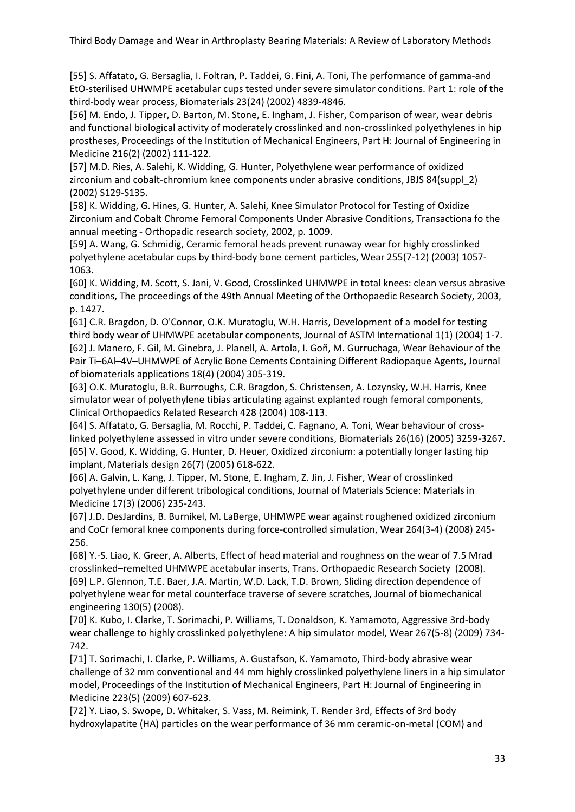[55] S. Affatato, G. Bersaglia, I. Foltran, P. Taddei, G. Fini, A. Toni, The performance of gamma-and EtO-sterilised UHWMPE acetabular cups tested under severe simulator conditions. Part 1: role of the third-body wear process, Biomaterials 23(24) (2002) 4839-4846.

[56] M. Endo, J. Tipper, D. Barton, M. Stone, E. Ingham, J. Fisher, Comparison of wear, wear debris and functional biological activity of moderately crosslinked and non-crosslinked polyethylenes in hip prostheses, Proceedings of the Institution of Mechanical Engineers, Part H: Journal of Engineering in Medicine 216(2) (2002) 111-122.

[57] M.D. Ries, A. Salehi, K. Widding, G. Hunter, Polyethylene wear performance of oxidized zirconium and cobalt-chromium knee components under abrasive conditions, JBJS 84(suppl\_2) (2002) S129-S135.

[58] K. Widding, G. Hines, G. Hunter, A. Salehi, Knee Simulator Protocol for Testing of Oxidize Zirconium and Cobalt Chrome Femoral Components Under Abrasive Conditions, Transactiona fo the annual meeting - Orthopadic research society, 2002, p. 1009.

[59] A. Wang, G. Schmidig, Ceramic femoral heads prevent runaway wear for highly crosslinked polyethylene acetabular cups by third-body bone cement particles, Wear 255(7-12) (2003) 1057- 1063.

[60] K. Widding, M. Scott, S. Jani, V. Good, Crosslinked UHMWPE in total knees: clean versus abrasive conditions, The proceedings of the 49th Annual Meeting of the Orthopaedic Research Society, 2003, p. 1427.

[61] C.R. Bragdon, D. O'Connor, O.K. Muratoglu, W.H. Harris, Development of a model for testing third body wear of UHMWPE acetabular components, Journal of ASTM International 1(1) (2004) 1-7. [62] J. Manero, F. Gil, M. Ginebra, J. Planell, A. Artola, I. Goñ, M. Gurruchaga, Wear Behaviour of the Pair Ti–6Al–4V–UHMWPE of Acrylic Bone Cements Containing Different Radiopaque Agents, Journal of biomaterials applications 18(4) (2004) 305-319.

[63] O.K. Muratoglu, B.R. Burroughs, C.R. Bragdon, S. Christensen, A. Lozynsky, W.H. Harris, Knee simulator wear of polyethylene tibias articulating against explanted rough femoral components, Clinical Orthopaedics Related Research 428 (2004) 108-113.

[64] S. Affatato, G. Bersaglia, M. Rocchi, P. Taddei, C. Fagnano, A. Toni, Wear behaviour of crosslinked polyethylene assessed in vitro under severe conditions, Biomaterials 26(16) (2005) 3259-3267. [65] V. Good, K. Widding, G. Hunter, D. Heuer, Oxidized zirconium: a potentially longer lasting hip implant, Materials design 26(7) (2005) 618-622.

[66] A. Galvin, L. Kang, J. Tipper, M. Stone, E. Ingham, Z. Jin, J. Fisher, Wear of crosslinked polyethylene under different tribological conditions, Journal of Materials Science: Materials in Medicine 17(3) (2006) 235-243.

[67] J.D. DesJardins, B. Burnikel, M. LaBerge, UHMWPE wear against roughened oxidized zirconium and CoCr femoral knee components during force-controlled simulation, Wear 264(3-4) (2008) 245- 256.

[68] Y.-S. Liao, K. Greer, A. Alberts, Effect of head material and roughness on the wear of 7.5 Mrad crosslinked–remelted UHMWPE acetabular inserts, Trans. Orthopaedic Research Society (2008). [69] L.P. Glennon, T.E. Baer, J.A. Martin, W.D. Lack, T.D. Brown, Sliding direction dependence of polyethylene wear for metal counterface traverse of severe scratches, Journal of biomechanical engineering 130(5) (2008).

[70] K. Kubo, I. Clarke, T. Sorimachi, P. Williams, T. Donaldson, K. Yamamoto, Aggressive 3rd-body wear challenge to highly crosslinked polyethylene: A hip simulator model, Wear 267(5-8) (2009) 734- 742.

[71] T. Sorimachi, I. Clarke, P. Williams, A. Gustafson, K. Yamamoto, Third-body abrasive wear challenge of 32 mm conventional and 44 mm highly crosslinked polyethylene liners in a hip simulator model, Proceedings of the Institution of Mechanical Engineers, Part H: Journal of Engineering in Medicine 223(5) (2009) 607-623.

[72] Y. Liao, S. Swope, D. Whitaker, S. Vass, M. Reimink, T. Render 3rd, Effects of 3rd body hydroxylapatite (HA) particles on the wear performance of 36 mm ceramic-on-metal (COM) and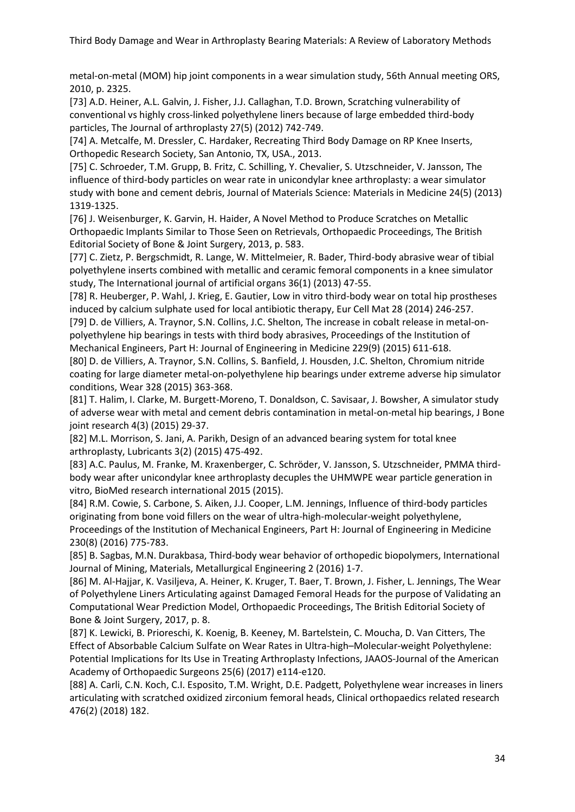metal-on-metal (MOM) hip joint components in a wear simulation study, 56th Annual meeting ORS, 2010, p. 2325.

[73] A.D. Heiner, A.L. Galvin, J. Fisher, J.J. Callaghan, T.D. Brown, Scratching vulnerability of conventional vs highly cross-linked polyethylene liners because of large embedded third-body particles, The Journal of arthroplasty 27(5) (2012) 742-749.

[74] A. Metcalfe, M. Dressler, C. Hardaker, Recreating Third Body Damage on RP Knee Inserts, Orthopedic Research Society, San Antonio, TX, USA., 2013.

[75] C. Schroeder, T.M. Grupp, B. Fritz, C. Schilling, Y. Chevalier, S. Utzschneider, V. Jansson, The influence of third-body particles on wear rate in unicondylar knee arthroplasty: a wear simulator study with bone and cement debris, Journal of Materials Science: Materials in Medicine 24(5) (2013) 1319-1325.

[76] J. Weisenburger, K. Garvin, H. Haider, A Novel Method to Produce Scratches on Metallic Orthopaedic Implants Similar to Those Seen on Retrievals, Orthopaedic Proceedings, The British Editorial Society of Bone & Joint Surgery, 2013, p. 583.

[77] C. Zietz, P. Bergschmidt, R. Lange, W. Mittelmeier, R. Bader, Third-body abrasive wear of tibial polyethylene inserts combined with metallic and ceramic femoral components in a knee simulator study, The International journal of artificial organs 36(1) (2013) 47-55.

[78] R. Heuberger, P. Wahl, J. Krieg, E. Gautier, Low in vitro third-body wear on total hip prostheses induced by calcium sulphate used for local antibiotic therapy, Eur Cell Mat 28 (2014) 246-257.

[79] D. de Villiers, A. Traynor, S.N. Collins, J.C. Shelton, The increase in cobalt release in metal-onpolyethylene hip bearings in tests with third body abrasives, Proceedings of the Institution of Mechanical Engineers, Part H: Journal of Engineering in Medicine 229(9) (2015) 611-618.

[80] D. de Villiers, A. Traynor, S.N. Collins, S. Banfield, J. Housden, J.C. Shelton, Chromium nitride coating for large diameter metal-on-polyethylene hip bearings under extreme adverse hip simulator conditions, Wear 328 (2015) 363-368.

[81] T. Halim, I. Clarke, M. Burgett-Moreno, T. Donaldson, C. Savisaar, J. Bowsher, A simulator study of adverse wear with metal and cement debris contamination in metal-on-metal hip bearings, J Bone joint research 4(3) (2015) 29-37.

[82] M.L. Morrison, S. Jani, A. Parikh, Design of an advanced bearing system for total knee arthroplasty, Lubricants 3(2) (2015) 475-492.

[83] A.C. Paulus, M. Franke, M. Kraxenberger, C. Schröder, V. Jansson, S. Utzschneider, PMMA thirdbody wear after unicondylar knee arthroplasty decuples the UHMWPE wear particle generation in vitro, BioMed research international 2015 (2015).

[84] R.M. Cowie, S. Carbone, S. Aiken, J.J. Cooper, L.M. Jennings, Influence of third-body particles originating from bone void fillers on the wear of ultra-high-molecular-weight polyethylene, Proceedings of the Institution of Mechanical Engineers, Part H: Journal of Engineering in Medicine 230(8) (2016) 775-783.

[85] B. Sagbas, M.N. Durakbasa, Third-body wear behavior of orthopedic biopolymers, International Journal of Mining, Materials, Metallurgical Engineering 2 (2016) 1-7.

[86] M. Al-Hajjar, K. Vasiljeva, A. Heiner, K. Kruger, T. Baer, T. Brown, J. Fisher, L. Jennings, The Wear of Polyethylene Liners Articulating against Damaged Femoral Heads for the purpose of Validating an Computational Wear Prediction Model, Orthopaedic Proceedings, The British Editorial Society of Bone & Joint Surgery, 2017, p. 8.

[87] K. Lewicki, B. Prioreschi, K. Koenig, B. Keeney, M. Bartelstein, C. Moucha, D. Van Citters, The Effect of Absorbable Calcium Sulfate on Wear Rates in Ultra-high–Molecular-weight Polyethylene: Potential Implications for Its Use in Treating Arthroplasty Infections, JAAOS-Journal of the American Academy of Orthopaedic Surgeons 25(6) (2017) e114-e120.

[88] A. Carli, C.N. Koch, C.I. Esposito, T.M. Wright, D.E. Padgett, Polyethylene wear increases in liners articulating with scratched oxidized zirconium femoral heads, Clinical orthopaedics related research 476(2) (2018) 182.